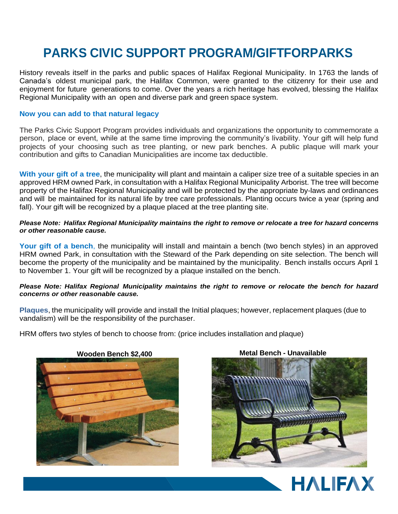## **PARKS CIVIC SUPPORT PROGRAM/GIFTFORPARKS**

History reveals itself in the parks and public spaces of Halifax Regional Municipality. In 1763 the lands of Canada's oldest municipal park, the Halifax Common, were granted to the citizenry for their use and enjoyment for future generations to come. Over the years a rich heritage has evolved, blessing the Halifax Regional Municipality with an open and diverse park and green space system.

#### **Now you can add to that natural legacy**

The Parks Civic Support Program provides individuals and organizations the opportunity to commemorate a person, place or event, while at the same time improving the community's livability. Your gift will help fund projects of your choosing such as tree planting, or new park benches. A public plaque will mark your contribution and gifts to Canadian Municipalities are income tax deductible.

**With your gift of a tree**, the municipality will plant and maintain a caliper size tree of a suitable species in an approved HRM owned Park, in consultation with a Halifax Regional Municipality Arborist. The tree will become property of the Halifax Regional Municipality and will be protected by the appropriate by-laws and ordinances and will be maintained for its natural life by tree care professionals. Planting occurs twice a year (spring and fall). Your gift will be recognized by a plaque placed at the tree planting site.

#### Please Note: Halifax Regional Municipality maintains the right to remove or relocate a tree for hazard concerns *or other reasonable cause.*

**Your gift of a bench**, the municipality will install and maintain a bench (two bench styles) in an approved HRM owned Park, in consultation with the Steward of the Park depending on site selection. The bench will become the property of the municipality and be maintained by the municipality. Bench installs occurs April 1 to November 1. Your gift will be recognized by a plaque installed on the bench.

#### *Please Note: Halifax Regional Municipality maintains the right to remove or relocate the bench for hazard concerns or other reasonable cause.*

**Plaques**, the municipality will provide and install the Initial plaques; however, replacement plaques (due to vandalism) will be the responsibility of the purchaser.

HRM offers two styles of bench to choose from: (price includes installation and plaque)





### **Wooden Bench \$2,400 Metal Bench - Unavailable**